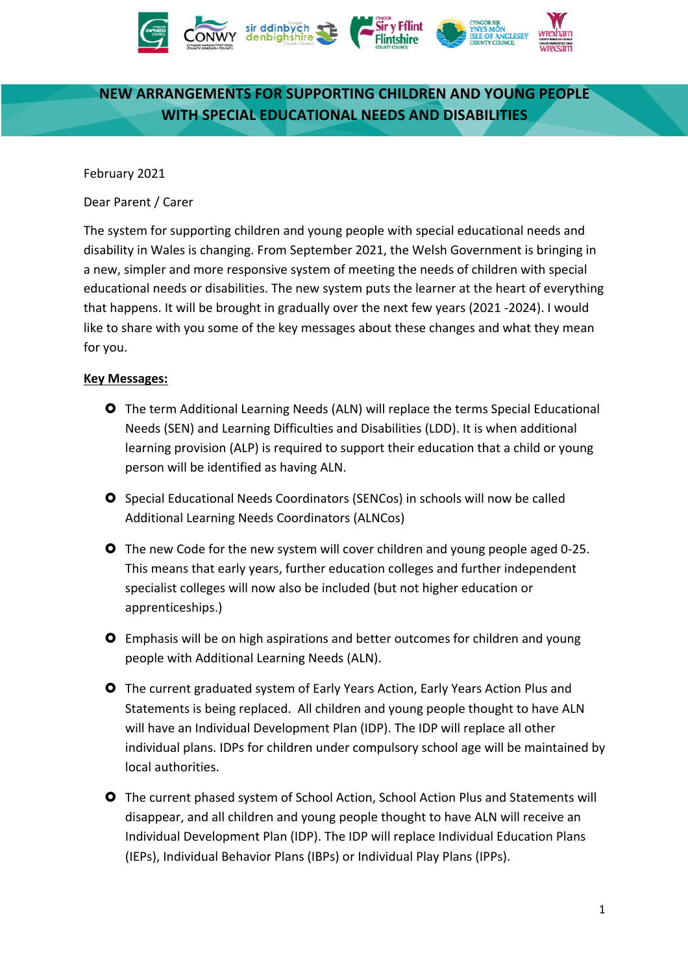

# **NEW ARRANGEMENTS FOR SUPPORTING CHILDREN AND YOUNG PEOPLE WITH SPECIAL EDUCATIONAL NEEDS AND DISABILITIES**

February 2021

Dear Parent / Carer

The system for supporting children and young people with special educational needs and disability in Wales is changing. From September 2021, the Welsh Government is bringing in a new, simpler and more responsive system of meeting the needs of children with special educational needs or disabilities. The new system puts the learner at the heart of everything that happens. It will be brought in gradually over the next few years (2021 -2024). I would like to share with you some of the key messages about these changes and what they mean for you.

### **Key Messages:**

- The term Additional Learning Needs (ALN) will replace the terms Special Educational Needs (SEN) and Learning Difficulties and Disabilities (LDD). It is when additional learning provision (ALP) is required to support their education that a child or young person will be identified as having ALN.
- **O** Special Educational Needs Coordinators (SENCos) in schools will now be called Additional Learning Needs Coordinators (ALNCos)
- **O** The new Code for the new system will cover children and young people aged 0-25. This means that early years, further education colleges and further independent specialist colleges will now also be included (but not higher education or apprenticeships.)
- Emphasis will be on high aspirations and better outcomes for children and young people with Additional Learning Needs (ALN).
- The current graduated system of Early Years Action, Early Years Action Plus and Statements is being replaced. All children and young people thought to have ALN will have an Individual Development Plan (IDP). The IDP will replace all other individual plans. IDPs for children under compulsory school age will be maintained by local authorities.
- The current phased system of School Action, School Action Plus and Statements will disappear, and all children and young people thought to have ALN will receive an Individual Development Plan (IDP). The IDP will replace Individual Education Plans (IEPs), Individual Behavior Plans (IBPs) or Individual Play Plans (IPPs).